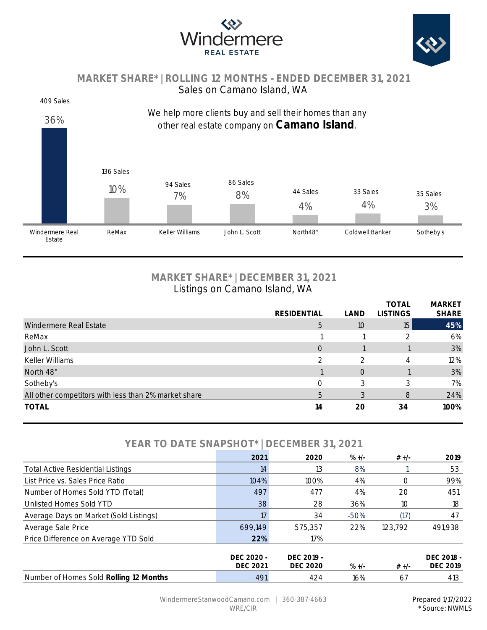



## **MARKET SHARE\* | ROLLING 12 MONTHS - ENDED DECEMBER 31, 2021** Sales on Camano Island, WA

#### 409 Sales



# **MARKET SHARE\* | DECEMBER 31, 2021** Listings on Camano Island, WA

|                                                      |                    |      | <b>TOTAL</b>    | <b>MARKET</b> |
|------------------------------------------------------|--------------------|------|-----------------|---------------|
|                                                      | <b>RESIDENTIAL</b> | LAND | <b>LISTINGS</b> | <b>SHARE</b>  |
| Windermere Real Estate                               | 5                  | 10   | 15 <sub>1</sub> | 45%           |
| ReMax                                                |                    |      |                 | 6%            |
| John L. Scott                                        | $\circ$            |      |                 | 3%            |
| Keller Williams                                      | $\mathcal{D}$      |      | 4               | 12%           |
| North 48°                                            |                    | 0    |                 | 3%            |
| Sotheby's                                            | O                  | 3    | 3               | 7%            |
| All other competitors with less than 2% market share | 5                  | 3    | 8               | 24%           |
| <b>TOTAL</b>                                         | 14                 | 20   | 34              | 100%          |

# **YEAR TO DATE SNAPSHOT\* | DECEMBER 31, 2021**

|                                          | 2021                          | 2020                          | $\% +/-$ | $# +/-$ | 2019                          |
|------------------------------------------|-------------------------------|-------------------------------|----------|---------|-------------------------------|
| <b>Total Active Residential Listings</b> | 14                            | 13                            | 8%       |         | 53                            |
| List Price vs. Sales Price Ratio         | 104%                          | 100%                          | 4%       |         | 99%                           |
| Number of Homes Sold YTD (Total)         | 497                           | 477                           | 4%       | 20      | 451                           |
| Unlisted Homes Sold YTD                  | 38                            | 28                            | 36%      | 10      | 18                            |
| Average Days on Market (Sold Listings)   | 17                            | 34                            | $-50%$   | (17)    | 47                            |
| Average Sale Price                       | 699.149                       | 575.357                       | 22%      | 123.792 | 491,938                       |
| Price Difference on Average YTD Sold     | 22%                           | 17%                           |          |         |                               |
|                                          | DEC 2020 -<br><b>DEC 2021</b> | DEC 2019 -<br><b>DEC 2020</b> | $\% +/-$ | $# +/-$ | DEC 2018 -<br><b>DEC 2019</b> |
| Number of Homes Sold Rolling 12 Months   | 491                           | 424                           | 16%      | 67      | 413                           |